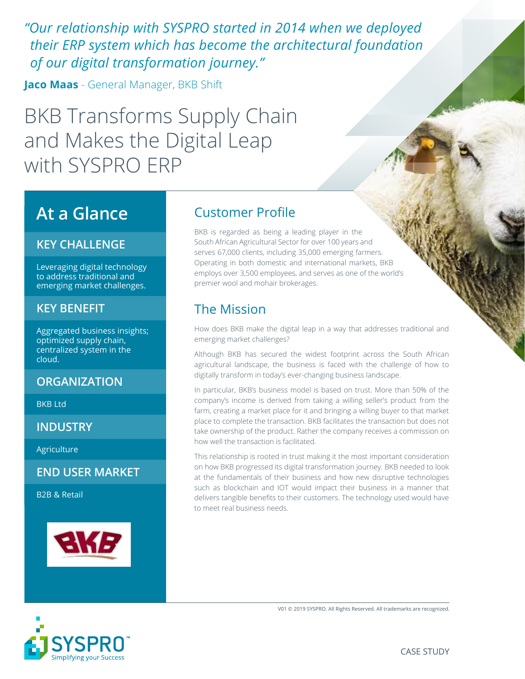*"Our relationship with SYSPRO started in 2014 when we deployed their ERP system which has become the architectural foundation of our digital transformation journey."* 

**Jaco Maas** - General Manager, BKB Shift

BKB Transforms Supply Chain and Makes the Digital Leap with SYSPRO ERP

## **At a Glance**

#### **KEY CHALLENGE**

Leveraging digital technology to address traditional and emerging market challenges.

#### **KEY BENEFIT**

Aggregated business insights; optimized supply chain, centralized system in the cloud.

#### **ORGANIZATION**

BKB Ltd

**INDUSTRY**

Agriculture

**END USER MARKET**

B2B & Retail



#### Customer Profile

BKB is regarded as being a leading player in the South African Agricultural Sector for over 100 years and serves 67,000 clients, including 35,000 emerging farmers. Operating in both domestic and international markets, BKB employs over 3,500 employees, and serves as one of the world's premier wool and mohair brokerages.

### The Mission

How does BKB make the digital leap in a way that addresses traditional and emerging market challenges?

Although BKB has secured the widest footprint across the South African agricultural landscape, the business is faced with the challenge of how to digitally transform in today's ever-changing business landscape.

In particular, BKB's business model is based on trust. More than 50% of the company's income is derived from taking a willing seller's product from the farm, creating a market place for it and bringing a willing buyer to that market place to complete the transaction. BKB facilitates the transaction but does not take ownership of the product. Rather the company receives a commission on how well the transaction is facilitated.

This relationship is rooted in trust making it the most important consideration on how BKB progressed its digital transformation journey. BKB needed to look at the fundamentals of their business and how new disruptive technologies such as blockchain and IOT would impact their business in a manner that delivers tangible benefits to their customers. The technology used would have to meet real business needs.



V01 © 2019 SYSPRO. All Rights Reserved. All trademarks are recognized.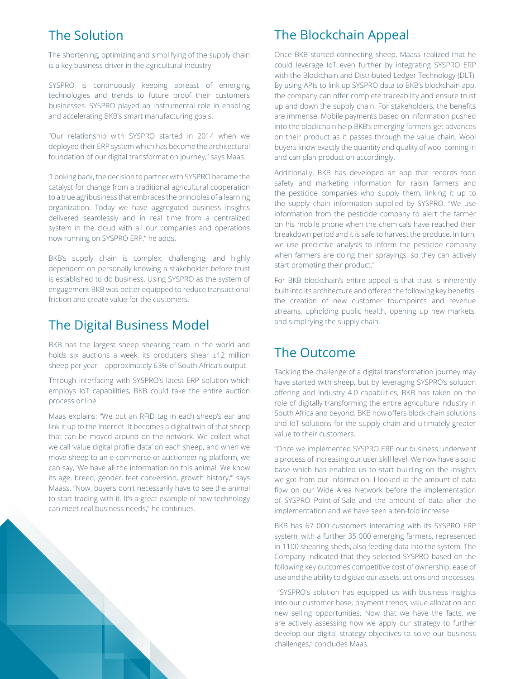#### The Solution

The shortening, optimizing and simplifying of the supply chain is a key business driver in the agricultural industry.

SYSPRO is continuously keeping abreast of emerging technologies and trends to future proof their customers businesses. SYSPRO played an instrumental role in enabling and accelerating BKB's smart manufacturing goals.

"Our relationship with SYSPRO started in 2014 when we deployed their ERP system which has become the architectural foundation of our digital transformation journey," says Maas.

"Looking back, the decision to partner with SYSPRO became the catalyst for change from a traditional agricultural cooperation to a true agribusiness that embraces the principles of a learning organization. Today we have aggregated business insights delivered seamlessly and in real time from a centralized system in the cloud with all our companies and operations now running on SYSPRO ERP," he adds.

BKB's supply chain is complex, challenging, and highly dependent on personally knowing a stakeholder before trust is established to do business. Using SYSPRO as the system of engagement BKB was better equipped to reduce transactional friction and create value for the customers.

#### The Digital Business Model

BKB has the largest sheep shearing team in the world and holds six auctions a week, its producers shear ±12 million sheep per year – approximately 63% of South Africa's output.

Through interfacing with SYSPRO's latest ERP solution which employs IoT capabilities, BKB could take the entire auction process online.

Maas explains: "We put an RFID tag in each sheep's ear and link it up to the Internet. It becomes a digital twin of that sheep that can be moved around on the network. We collect what we call 'value digital profile data' on each sheep, and when we move sheep to an e-commerce or auctioneering platform, we can say, 'We have all the information on this animal. We know its age, breed, gender, feet conversion, growth history,"' says Maass. "Now, buyers don't necessarily have to see the animal to start trading with it. It's a great example of how technology can meet real business needs," he continues.

#### The Blockchain Appeal

Once BKB started connecting sheep, Maass realized that he could leverage IoT even further by integrating SYSPRO ERP with the Blockchain and Distributed Ledger Technology (DLT). By using APIs to link up SYSPRO data to BKB's blockchain app, the company can offer complete traceability and ensure trust up and down the supply chain. For stakeholders, the benefits are immense. Mobile payments based on information pushed into the blockchain help BKB's emerging farmers get advances on their product as it passes through the value chain. Wool buyers know exactly the quantity and quality of wool coming in and can plan production accordingly.

Additionally, BKB has developed an app that records food safety and marketing information for raisin farmers and the pesticide companies who supply them, linking it up to the supply chain information supplied by SYSPRO. "We use information from the pesticide company to alert the farmer on his mobile phone when the chemicals have reached their breakdown period and it is safe to harvest the produce. In turn, we use predictive analysis to inform the pesticide company when farmers are doing their sprayings, so they can actively start promoting their product."

For BKB blockchain's entire appeal is that trust is inherently built into its architecture and offered the following key benefits: the creation of new customer touchpoints and revenue streams, upholding public health, opening up new markets, and simplifying the supply chain.

#### The Outcome

Tackling the challenge of a digital transformation journey may have started with sheep, but by leveraging SYSPRO's solution offering and Industry 4.0 capabilities, BKB has taken on the role of digitally transforming the entire agriculture industry in South Africa and beyond. BKB now offers block chain solutions and IoT solutions for the supply chain and ultimately greater value to their customers.

"Once we implemented SYSPRO ERP our business underwent a process of increasing our user skill level. We now have a solid base which has enabled us to start building on the insights we got from our information. I looked at the amount of data flow on our Wide Area Network before the implementation of SYSPRO Point-of-Sale and the amount of data after the implementation and we have seen a ten-fold increase.

BKB has 67 000 customers interacting with its SYSPRO ERP system, with a further 35 000 emerging farmers, represented in 1100 shearing sheds, also feeding data into the system. The Company indicated that they selected SYSPRO based on the following key outcomes competitive cost of ownership, ease of use and the ability to digitize our assets, actions and processes.

 "SYSPRO's solution has equipped us with business insights into our customer base, payment trends, value allocation and new selling opportunities. Now that we have the facts, we are actively assessing how we apply our strategy to further develop our digital strategy objectives to solve our business challenges," concludes Maas.